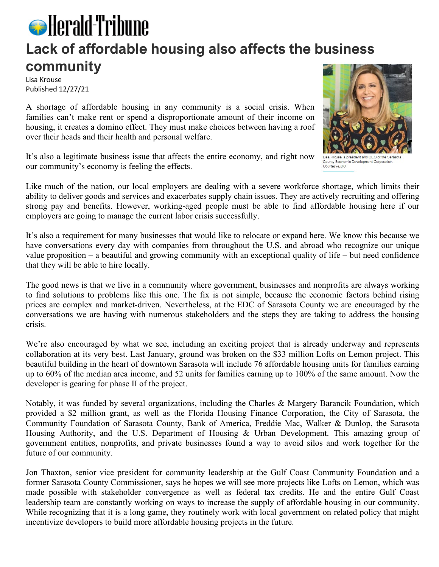## **S** Herald-Tribune **Lack of affordable housing also affects the business community**

Lisa Krouse Published 12/27/21

A shortage of affordable housing in any community is a social crisis. When families can't make rent or spend a disproportionate amount of their income on housing, it creates a domino effect. They must make choices between having a roof over their heads and their health and personal welfare.

It's also a legitimate business issue that affects the entire economy, and right now our community's economy is feeling the effects.

Like much of the nation, our local employers are dealing with a severe workforce shortage, which limits their ability to deliver goods and services and exacerbates supply chain issues. They are actively recruiting and offering strong pay and benefits. However, working-aged people must be able to find affordable housing here if our employers are going to manage the current labor crisis successfully.

It's also a requirement for many businesses that would like to relocate or expand here. We know this because we have conversations every day with companies from throughout the U.S. and abroad who recognize our unique value proposition – a beautiful and growing community with an exceptional quality of life – but need confidence that they will be able to hire locally.

The good news is that we live in a community where government, businesses and nonprofits are always working to find solutions to problems like this one. The fix is not simple, because the economic factors behind rising prices are complex and market-driven. Nevertheless, at the EDC of Sarasota County we are encouraged by the conversations we are having with numerous stakeholders and the steps they are taking to address the housing crisis.

We're also encouraged by what we see, including an exciting project that is already underway and represents collaboration at its very best. Last January, ground was broken on the \$33 million Lofts on Lemon project. This beautiful building in the heart of downtown Sarasota will include 76 affordable housing units for families earning up to 60% of the median area income, and 52 units for families earning up to 100% of the same amount. Now the developer is gearing for phase II of the project.

Notably, it was funded by several organizations, including the Charles & Margery Barancik Foundation, which provided a \$2 million grant, as well as the Florida Housing Finance Corporation, the City of Sarasota, the Community Foundation of Sarasota County, Bank of America, Freddie Mac, Walker & Dunlop, the Sarasota Housing Authority, and the U.S. Department of Housing & Urban Development. This amazing group of government entities, nonprofits, and private businesses found a way to avoid silos and work together for the future of our community.

Jon Thaxton, senior vice president for community leadership at the Gulf Coast Community Foundation and a former Sarasota County Commissioner, says he hopes we will see more projects like Lofts on Lemon, which was made possible with stakeholder convergence as well as federal tax credits. He and the entire Gulf Coast leadership team are constantly working on ways to increase the supply of affordable housing in our community. While recognizing that it is a long game, they routinely work with local government on related policy that might incentivize developers to build more affordable housing projects in the future.



Lisa Krouse is president and CEO of the Sarasota County Economic Development Corporation. Courtesy/EDC